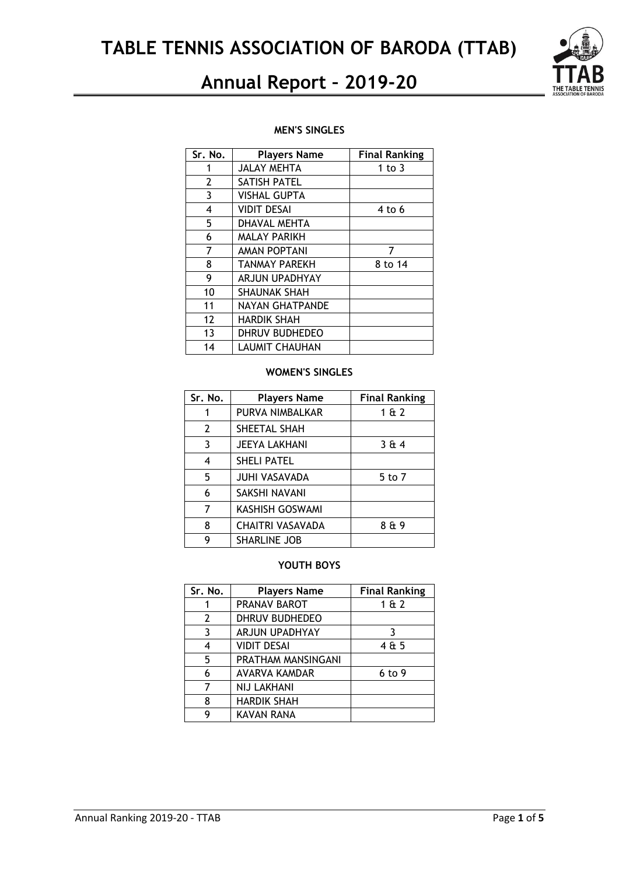

### **MEN'S SINGLES**

| Sr. No.        | <b>Players Name</b>   | <b>Final Ranking</b> |
|----------------|-----------------------|----------------------|
| 1              | <b>JALAY MEHTA</b>    | 1 to $3$             |
| $\overline{2}$ | SATISH PATEL          |                      |
| 3              | <b>VISHAL GUPTA</b>   |                      |
| 4              | <b>VIDIT DESAI</b>    | $4$ to 6             |
| 5              | DHAVAL MEHTA          |                      |
| 6              | <b>MALAY PARIKH</b>   |                      |
| 7              | <b>AMAN POPTANI</b>   | 7                    |
| 8              | <b>TANMAY PAREKH</b>  | 8 to 14              |
| 9              | <b>ARJUN UPADHYAY</b> |                      |
| 10             | <b>SHAUNAK SHAH</b>   |                      |
| 11             | NAYAN GHATPANDE       |                      |
| 12             | <b>HARDIK SHAH</b>    |                      |
| 13             | DHRUV BUDHEDEO        |                      |
| 14             | <b>LAUMIT CHAUHAN</b> |                      |

### **WOMEN'S SINGLES**

| Sr. No.        | <b>Players Name</b>  | <b>Final Ranking</b> |
|----------------|----------------------|----------------------|
| 1              | PURVA NIMBALKAR      | 162                  |
| $\overline{2}$ | SHEETAL SHAH         |                      |
| 3              | <b>JEEYA LAKHANI</b> | 364                  |
| 4              | <b>SHELI PATEL</b>   |                      |
| 5              | <b>JUHI VASAVADA</b> | 5 to 7               |
| 6              | SAKSHI NAVANI        |                      |
| 7              | KASHISH GOSWAMI      |                      |
| 8              | CHAITRI VASAVADA     | 8 & 9                |
| g              | <b>SHARLINE JOB</b>  |                      |

## **YOUTH BOYS**

| Sr. No.        | <b>Players Name</b> | <b>Final Ranking</b> |
|----------------|---------------------|----------------------|
|                | PRANAV BAROT        | 162                  |
| $\overline{2}$ | DHRUV BUDHEDEO      |                      |
| 3              | ARJUN UPADHYAY      | 3                    |
| 4              | <b>VIDIT DESAI</b>  | 4 & 5                |
| 5              | PRATHAM MANSINGANI  |                      |
| 6              | AVARVA KAMDAR       | 6 to 9               |
| 7              | <b>NIJ LAKHANI</b>  |                      |
| 8              | <b>HARDIK SHAH</b>  |                      |
| g              | <b>KAVAN RANA</b>   |                      |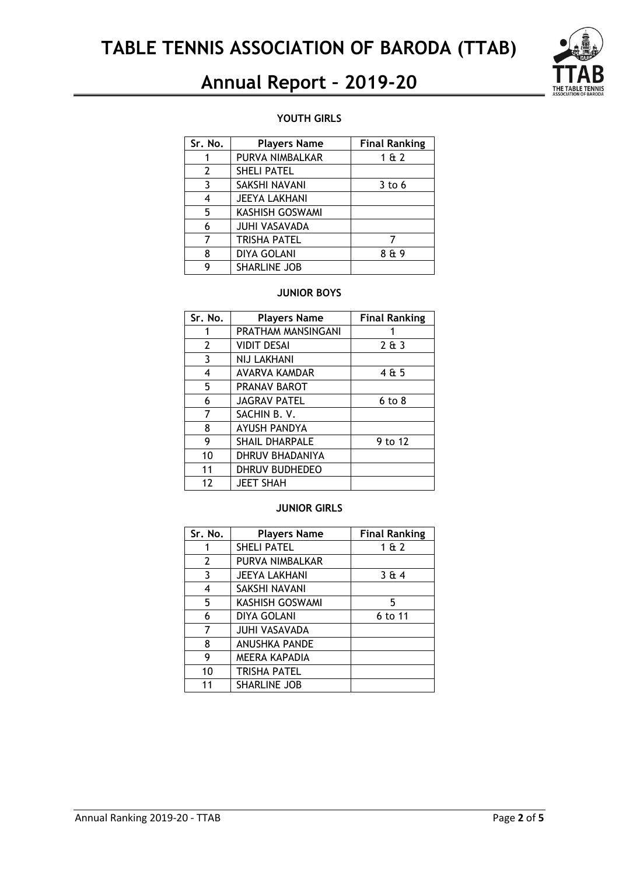

### **YOUTH GIRLS**

| Sr. No. | <b>Players Name</b>    | <b>Final Ranking</b> |
|---------|------------------------|----------------------|
|         | PURVA NIMBALKAR        | 1 & 2                |
| 2       | <b>SHELI PATEL</b>     |                      |
| 3       | SAKSHI NAVANI          | $3$ to 6             |
| 4       | <b>JEEYA LAKHANI</b>   |                      |
| 5       | <b>KASHISH GOSWAMI</b> |                      |
| 6       | <b>JUHI VASAVADA</b>   |                      |
| 7       | <b>TRISHA PATEL</b>    |                      |
| 8       | <b>DIYA GOLANI</b>     | 8 & 9                |
| Q       | <b>SHARLINE JOB</b>    |                      |

### **JUNIOR BOYS**

| Sr. No.        | <b>Players Name</b>   | <b>Final Ranking</b> |
|----------------|-----------------------|----------------------|
| 1              | PRATHAM MANSINGANI    |                      |
| $\overline{2}$ | <b>VIDIT DESAI</b>    | 2643                 |
| 3              | <b>NIJ LAKHANI</b>    |                      |
| 4              | AVARVA KAMDAR         | 4 & 5                |
| 5              | PRANAV BAROT          |                      |
| 6              | <b>JAGRAV PATEL</b>   | $6$ to $8$           |
| 7              | SACHIN B.V.           |                      |
| 8              | <b>AYUSH PANDYA</b>   |                      |
| 9              | <b>SHAIL DHARPALE</b> | 9 to 12              |
| 10             | DHRUV BHADANIYA       |                      |
| 11             | DHRUV BUDHEDEO        |                      |
| 12             | <b>JEET SHAH</b>      |                      |

### **JUNIOR GIRLS**

| Sr. No. | <b>Players Name</b>  | <b>Final Ranking</b> |
|---------|----------------------|----------------------|
|         | SHELI PATEL          | 1 & 2                |
| 2       | PURVA NIMBALKAR      |                      |
| 3       | <b>JEEYA LAKHANI</b> | 3 & 4                |
| 4       | SAKSHI NAVANI        |                      |
| 5       | KASHISH GOSWAMI      | 5                    |
| 6       | DIYA GOLANI          | 6 to 11              |
| 7       | <b>JUHI VASAVADA</b> |                      |
| 8       | <b>ANUSHKA PANDE</b> |                      |
| 9       | <b>MEERA KAPADIA</b> |                      |
| 10      | <b>TRISHA PATEL</b>  |                      |
| 11      | <b>SHARLINE JOB</b>  |                      |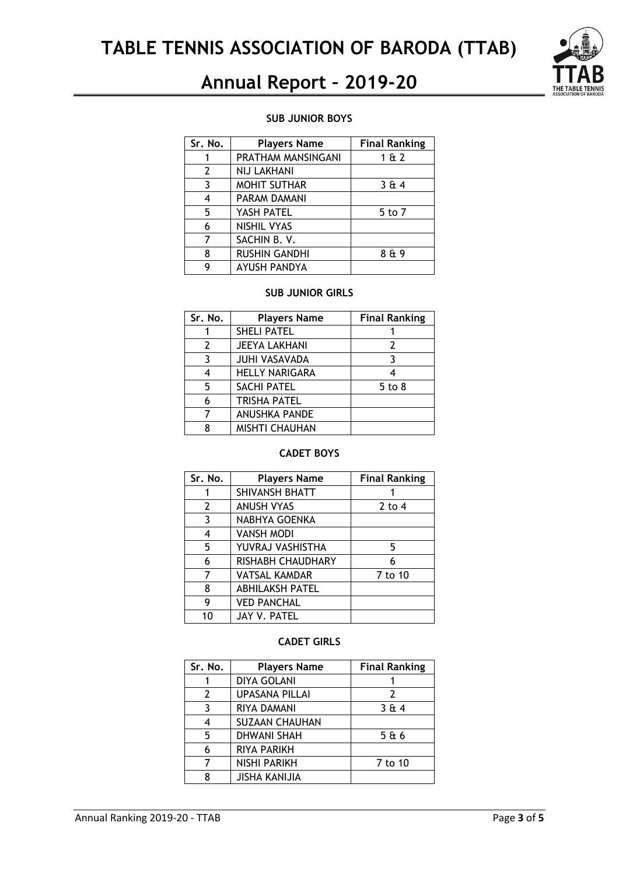

#### **SUB JUNIOR BOYS**

| Sr. No. | <b>Players Name</b>  | <b>Final Ranking</b> |
|---------|----------------------|----------------------|
|         | PRATHAM MANSINGANI   | 1 & 2                |
| 2       | NIJ LAKHANI          |                      |
| 3       | <b>MOHIT SUTHAR</b>  | 364                  |
| 4       | PARAM DAMANI         |                      |
| 5       | YASH PATEL           | 5 to 7               |
| 6       | NISHIL VYAS          |                      |
|         | SACHIN B.V.          |                      |
| 8       | <b>RUSHIN GANDHI</b> | 8 & 9                |
| Q       | AYUSH PANDYA         |                      |

#### **SUB JUNIOR GIRLS**

| Sr. No.       | <b>Players Name</b>   | <b>Final Ranking</b> |
|---------------|-----------------------|----------------------|
|               | <b>SHELI PATEL</b>    |                      |
| $\mathcal{L}$ | <b>JEEYA LAKHANI</b>  | 2                    |
| 3             | <b>JUHI VASAVADA</b>  |                      |
|               | <b>HELLY NARIGARA</b> |                      |
| 5             | <b>SACHI PATEL</b>    | $5$ to $8$           |
| 6             | <b>TRISHA PATEL</b>   |                      |
|               | ANUSHKA PANDE         |                      |
|               | <b>MISHTI CHAUHAN</b> |                      |

## **CADET BOYS**

| Sr. No.        | <b>Players Name</b>    | <b>Final Ranking</b> |
|----------------|------------------------|----------------------|
|                | SHIVANSH BHATT         |                      |
| $\overline{2}$ | <b>ANUSH VYAS</b>      | $2$ to 4             |
| 3              | NABHYA GOENKA          |                      |
| 4              | <b>VANSH MODI</b>      |                      |
| 5              | YUVRAJ VASHISTHA       | 5                    |
| 6              | RISHABH CHAUDHARY      | 6                    |
| 7              | <b>VATSAL KAMDAR</b>   | 7 to 10              |
| 8              | <b>ABHILAKSH PATEL</b> |                      |
| 9              | <b>VED PANCHAL</b>     |                      |
| 10             | JAY V. PATEL           |                      |

#### **CADET GIRLS**

| Sr. No. | <b>Players Name</b>   | <b>Final Ranking</b> |
|---------|-----------------------|----------------------|
|         | <b>DIYA GOLANI</b>    |                      |
| 2       | <b>UPASANA PILLAI</b> | $\mathcal{P}$        |
| ર       | RIYA DAMANI           | 364                  |
| 4       | <b>SUZAAN CHAUHAN</b> |                      |
| 5       | <b>DHWANI SHAH</b>    | 5&6                  |
| 6       | RIYA PARIKH           |                      |
|         | <b>NISHI PARIKH</b>   | 7 to 10              |
|         | <b>JISHA KANIJIA</b>  |                      |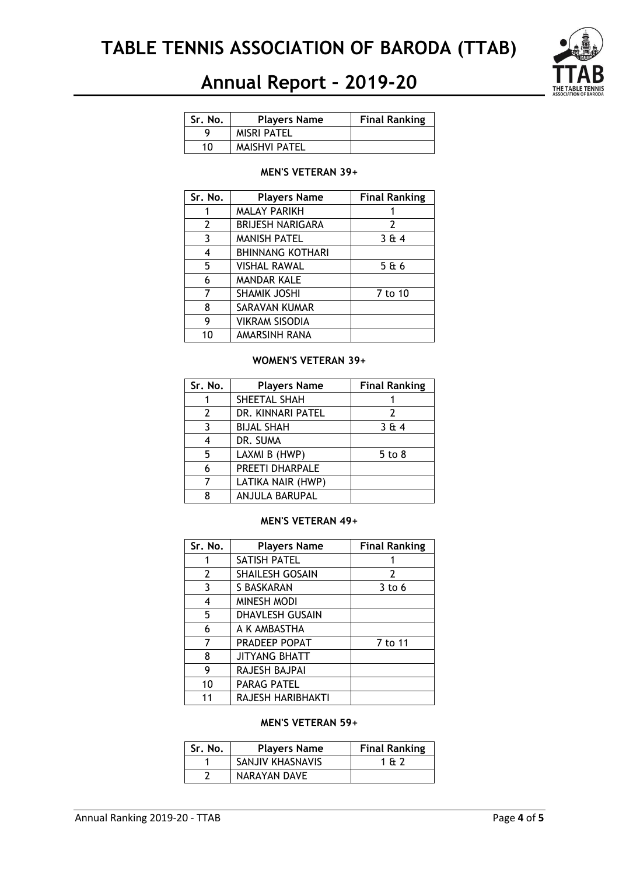

| Sr. No. | <b>Players Name</b>  | <b>Final Ranking</b> |
|---------|----------------------|----------------------|
| u       | <b>MISRI PATEL</b>   |                      |
| 10      | <b>MAISHVI PATEL</b> |                      |

#### **MEN'S VETERAN 39+**

| Sr. No. | <b>Players Name</b>     | <b>Final Ranking</b> |
|---------|-------------------------|----------------------|
|         | <b>MALAY PARIKH</b>     |                      |
| 2       | <b>BRIJESH NARIGARA</b> | 2                    |
| 3       | <b>MANISH PATEL</b>     | 364                  |
| 4       | <b>BHINNANG KOTHARI</b> |                      |
| 5       | <b>VISHAL RAWAL</b>     | 5 & 6                |
| 6       | <b>MANDAR KALE</b>      |                      |
| 7       | <b>SHAMIK JOSHI</b>     | 7 to 10              |
| 8       | SARAVAN KUMAR           |                      |
| 9       | VIKRAM SISODIA          |                      |
| 10      | AMARSINH RANA           |                      |

#### **WOMEN'S VETERAN 39+**

| Sr. No. | <b>Players Name</b> | <b>Final Ranking</b> |
|---------|---------------------|----------------------|
|         | SHEETAL SHAH        |                      |
| 2       | DR. KINNARI PATEL   | 2                    |
| 3       | <b>BIJAL SHAH</b>   | 364                  |
|         | DR. SUMA            |                      |
| 5       | LAXMI B (HWP)       | $5$ to $8$           |
| 6       | PREETI DHARPALE     |                      |
|         | LATIKA NAIR (HWP)   |                      |
|         | ANJULA BARUPAL      |                      |

#### **MEN'S VETERAN 49+**

| Sr. No. | <b>Players Name</b>    | <b>Final Ranking</b> |
|---------|------------------------|----------------------|
|         | <b>SATISH PATEL</b>    |                      |
| 2       | <b>SHAILESH GOSAIN</b> | 2                    |
| 3       | S BASKARAN             | $3$ to 6             |
| 4       | <b>MINESH MODI</b>     |                      |
| 5       | DHAVLESH GUSAIN        |                      |
| 6       | A K AMBASTHA           |                      |
| 7       | PRADEEP POPAT          | 7 to 11              |
| 8       | <b>JITYANG BHATT</b>   |                      |
| 9       | RAJESH BAJPAI          |                      |
| 10      | PARAG PATEL            |                      |
| 11      | RAJESH HARIBHAKTI      |                      |

### **MEN'S VETERAN 59+**

| Sr. No. | <b>Players Name</b> | <b>Final Ranking</b> |
|---------|---------------------|----------------------|
|         | SANJIV KHASNAVIS    | 1 A 7                |
|         | NARAYAN DAVE        |                      |